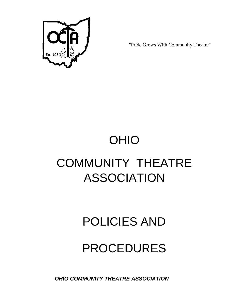

"Pride Grows With Community Theatre"

# OHIO COMMUNITY THEATRE ASSOCIATION

### POLICIES AND

## PROCEDURES

*OHIO COMMUNITY THEATRE ASSOCIATION*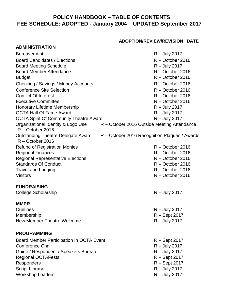### **POLICY HANDBOOK – TABLE OF CONTENTS FEE SCHEDULE: ADOPTED - January 2004 UPDATED September 2017**

#### **ADOPTION/REVIEW/REVISION DATE**

| <b>ADMINISTRATION</b>                                    |                                               |
|----------------------------------------------------------|-----------------------------------------------|
| <b>Bereavement</b>                                       | $R -$ July 2017                               |
| <b>Board Candidates / Elections</b>                      | $R - October$ 2016                            |
| <b>Board Meeting Schedule</b>                            | $R -$ July 2017                               |
| <b>Board Member Attendance</b>                           | R - October 2016                              |
| <b>Budget</b>                                            | $R - October$ 2016                            |
| Checking / Savings / Money Accounts                      | $R - October$ 2016                            |
| <b>Conference Site Selection</b>                         | $R - October$ 2016                            |
| <b>Conflict Of Interest</b>                              | $R - October$ 2016                            |
| <b>Executive Committee</b>                               | $R - October$ 2016                            |
| <b>Honorary Lifetime Membership</b>                      | $R -$ July 2017                               |
| <b>OCTA Hall Of Fame Award</b>                           | $R -$ July 2017                               |
| <b>OCTA Spirit Of Community Theatre Award</b>            | $R -$ July 2017                               |
| Organizational Identity & Logo Use<br>$R - October$ 2016 | R - October 2016 Outside Meeting Attendance   |
| Outstanding Theatre Delegate Award<br>$R - October$ 2016 | R – October 2016 Recognition Plaques / Awards |
| <b>Refund of Registration Monies</b>                     | $R - October$ 2016                            |
| <b>Regional Finances</b>                                 | $R - October$ 2016                            |
| <b>Regional Representative Elections</b>                 | $R - October$ 2016                            |
| <b>Standards Of Conduct</b>                              | $R - October$ 2016                            |
| <b>Travel and Lodging</b>                                | $R - October$ 2016                            |
| <b>Visitors</b>                                          | $R - October$ 2016                            |
| <b>FUNDRAISING</b>                                       |                                               |
| <b>College Scholarship</b>                               | $R -$ July 2017                               |
| <b>MMPR</b>                                              |                                               |
| <b>Cuelines</b>                                          | $R -$ July 2017                               |
| Membership                                               | R - Sept 2017                                 |
| <b>New Member Theatre Welcome</b>                        | $R -$ July 2017                               |
| <b>PROGRAMMING</b>                                       |                                               |
| Board Member Participation In OCTA Event                 | $R -$ Sept 2017                               |
| <b>Conference Chair</b>                                  | $R -$ July 2017                               |
| Guide / Respondent / Speakers Bureau                     | $R -$ July 2017                               |
| <b>Regional OCTAFests</b>                                | R - Sept 2017                                 |
| <b>Responders</b>                                        | R - Sept 2017                                 |
| <b>Script Library</b>                                    | $R -$ July 2017                               |
| <b>Workshop Leaders</b>                                  | $R -$ July 2017                               |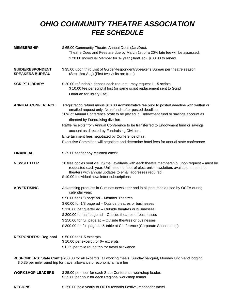### *OHIO COMMUNITY THEATRE ASSOCIATION FEE SCHEDULE*

| <b>MEMBERSHIP</b>                                                                                                                                                                         | \$65.00 Community Theatre Annual Dues (Jan/Dec).<br>Theatre Dues and Fees are due by March 1st or a 20% late fee will be assessed.                                                                                                                                                                |
|-------------------------------------------------------------------------------------------------------------------------------------------------------------------------------------------|---------------------------------------------------------------------------------------------------------------------------------------------------------------------------------------------------------------------------------------------------------------------------------------------------|
|                                                                                                                                                                                           | \$20.00 Individual Member for 1st year (Jan/Dec), \$30.00 to renew.                                                                                                                                                                                                                               |
| <b>GUIDE/RESPONDENT</b><br><b>SPEAKERS BUREAU</b>                                                                                                                                         | \$35.00 upon third visit of Guide/Respondent/Speaker's Bureau per theatre season<br>(Sept thru Aug) (First two visits are free.)                                                                                                                                                                  |
| <b>SCRIPT LIBRARY</b>                                                                                                                                                                     | \$20.00 refundable deposit each request - may request 1-15 scripts.<br>\$10.00 fee per script if lost (or same script replacement sent to Script                                                                                                                                                  |
|                                                                                                                                                                                           | Librarian for library use).                                                                                                                                                                                                                                                                       |
| <b>ANNUAL CONFERENCE</b>                                                                                                                                                                  | Registration refund minus \$10.00 Administrative fee prior to posted deadline with written or<br>emailed request only. No refunds after posted deadline.<br>10% of Annual Conference profit to be placed in Endowment fund or savings account as<br>directed by Fundraising division.             |
|                                                                                                                                                                                           | Raffle receipts from Annual Conference to be transferred to Endowment fund or savings<br>account as directed by Fundraising Division.                                                                                                                                                             |
|                                                                                                                                                                                           | Entertainment fees negotiated by Conference chair.                                                                                                                                                                                                                                                |
|                                                                                                                                                                                           | Executive Committee will negotiate and determine hotel fees for annual state conference.                                                                                                                                                                                                          |
| <b>FINANCIAL</b>                                                                                                                                                                          | \$35.00 fee for any returned check.                                                                                                                                                                                                                                                               |
| <b>NEWSLETTER</b>                                                                                                                                                                         | 10 free copies sent via US mail available with each theatre membership, upon request - must be<br>requested each year. Unlimited number of electronic newsletters available to member<br>theaters with annual updates to email addresses required.<br>\$10.00 Individual newsletter subscriptions |
| <b>ADVERTISING</b>                                                                                                                                                                        | Advertising products in Cuelines newsletter and in all print media used by OCTA during<br>calendar year:                                                                                                                                                                                          |
|                                                                                                                                                                                           | \$50.00 for 1/8 page ad - Member Theatres                                                                                                                                                                                                                                                         |
|                                                                                                                                                                                           | \$60.00 for 1/8 page ad - Outside theatres or businesses                                                                                                                                                                                                                                          |
|                                                                                                                                                                                           | \$110.00 per quarter ad - Outside theatres or businesses                                                                                                                                                                                                                                          |
|                                                                                                                                                                                           | \$200.00 for half page ad - Outside theatres or businesses                                                                                                                                                                                                                                        |
|                                                                                                                                                                                           | \$250.00 for full page ad – Outside theatres or businesses                                                                                                                                                                                                                                        |
|                                                                                                                                                                                           | \$300.00 for full page ad & table at Conference (Corporate Sponsorship)                                                                                                                                                                                                                           |
| <b>RESPONDERS: Regional</b>                                                                                                                                                               | \$50.00 for 1-5 excerpts<br>\$10.00 per excerpt for 6+ excerpts                                                                                                                                                                                                                                   |
|                                                                                                                                                                                           | \$0.35 per mile round trip for travel allowance                                                                                                                                                                                                                                                   |
| RESPONDERS: State Conf \$ 250.00 for all excerpts, all working meals, Sunday banquet, Monday lunch and lodging<br>\$ 0.35 per mile round trip for travel allowance or economy airfare fee |                                                                                                                                                                                                                                                                                                   |
| <b>WORKSHOP LEADERS</b>                                                                                                                                                                   | \$25.00 per hour for each State Conference workshop leader.<br>\$25.00 per hour for each Regional workshop leader.                                                                                                                                                                                |

#### **REGIONS** \$250.00 paid yearly to OCTA towards Festival responder travel.